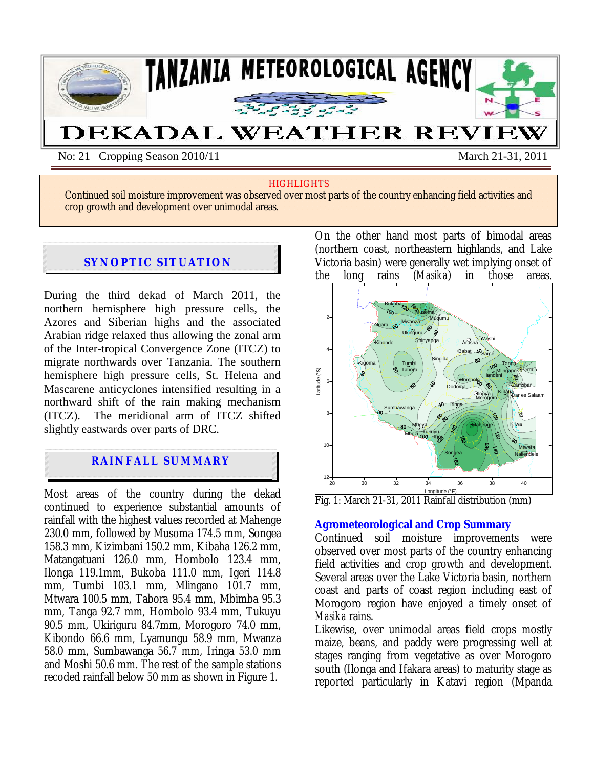

No: 21 Cropping Season 2010/11 March 21-31, 2011

#### **HIGHLIGHTS**

Continued soil moisture improvement was observed over most parts of the country enhancing field activities and crop growth and development over unimodal areas.

# **SYNOPTIC SITUATION**

 $x \rightarrow 0$ 

During the third dekad of March 2011, the northern hemisphere high pressure cells, the Azores and Siberian highs and the associated Arabian ridge relaxed thus allowing the zonal arm of the Inter-tropical Convergence Zone (ITCZ) to migrate northwards over Tanzania. The southern hemisphere high pressure cells, St. Helena and Mascarene anticyclones intensified resulting in a northward shift of the rain making mechanism (ITCZ). The meridional arm of ITCZ shifted slightly eastwards over parts of DRC.

# **RAINFALL SUMMARY**

Most areas of the country during the dekad continued to experience substantial amounts of rainfall with the highest values recorded at Mahenge 230.0 mm, followed by Musoma 174.5 mm, Songea 158.3 mm, Kizimbani 150.2 mm, Kibaha 126.2 mm, Matangatuani 126.0 mm, Hombolo 123.4 mm, Ilonga 119.1mm, Bukoba 111.0 mm, Igeri 114.8 mm, Tumbi 103.1 mm, Mlingano 101.7 mm, Mtwara 100.5 mm, Tabora 95.4 mm, Mbimba 95.3 mm, Tanga 92.7 mm, Hombolo 93.4 mm, Tukuyu 90.5 mm, Ukiriguru 84.7mm, Morogoro 74.0 mm, Kibondo 66.6 mm, Lyamungu 58.9 mm, Mwanza 58.0 mm, Sumbawanga 56.7 mm, Iringa 53.0 mm and Moshi 50.6 mm. The rest of the sample stations recoded rainfall below 50 mm as shown in Figure 1.

On the other hand most parts of bimodal areas (northern coast, northeastern highlands, and Lake Victoria basin) were generally wet implying onset of the long rains (*Masika*) in those areas.



Fig. 1: March 21-31, 2011 Rainfall distribution (mm)

## **Agrometeorological and Crop Summary**

Continued soil moisture improvements were observed over most parts of the country enhancing field activities and crop growth and development. Several areas over the Lake Victoria basin, northern coast and parts of coast region including east of Morogoro region have enjoyed a timely onset of *Masika* rains.

Likewise, over unimodal areas field crops mostly maize, beans, and paddy were progressing well at stages ranging from vegetative as over Morogoro south (Ilonga and Ifakara areas) to maturity stage as reported particularly in Katavi region (Mpanda